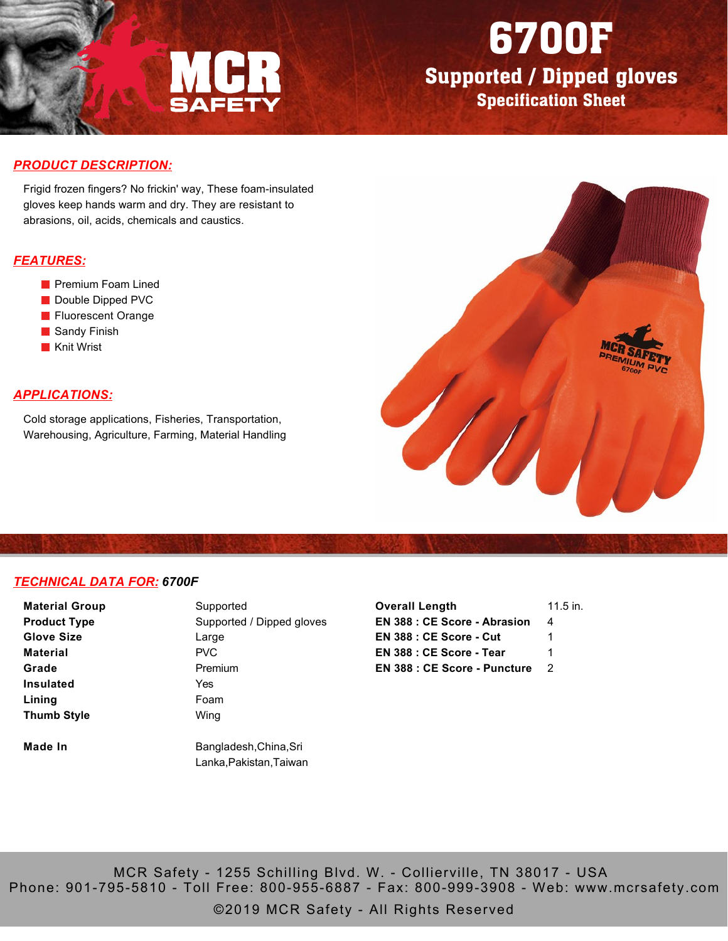

# 6700F

Supported / Dipped gloves Specification Sheet

### *PRODUCT DESCRIPTION:*

Frigid frozen fingers? No frickin' way, These foam-insulated gloves keep hands warm and dry. They are resistant to abrasions, oil, acids, chemicals and caustics.

### *FEATURES:*

- **Premium Foam Lined**
- Double Dipped PVC
- **Fluorescent Orange**
- Sandy Finish
- **Knit Wrist**

## *APPLICATIONS:*

Cold storage applications, Fisheries, Transportation, Warehousing, Agriculture, Farming, Material Handling



#### *TECHNICAL DATA FOR: 6700F*

| <b>Material Group</b>                            | Supported               |  |  |  |
|--------------------------------------------------|-------------------------|--|--|--|
| Supported / Dipped gloves<br><b>Product Type</b> |                         |  |  |  |
| <b>Glove Size</b>                                | Large                   |  |  |  |
| Material                                         | PVC                     |  |  |  |
| Grade                                            | Premium                 |  |  |  |
| <b>Insulated</b>                                 | Yes                     |  |  |  |
| Lining                                           | Foam                    |  |  |  |
| <b>Thumb Style</b>                               | Wing                    |  |  |  |
| Made In                                          | Bangladesh, China, Sri  |  |  |  |
|                                                  | Lanka, Pakistan, Taiwan |  |  |  |

| $11.5$ in. |
|------------|
| 4          |
| 1          |
| 1          |
| 2          |
|            |

MCR Safety - 1255 Schilling Blvd. W. - Collierville, TN 38017 - USA Phone: 901-795-5810 - Toll Free: 800-955-6887 - Fax: 800-999-3908 - Web: www.mcrsafety.com

©2019 MCR Safety - All Rights Reserved